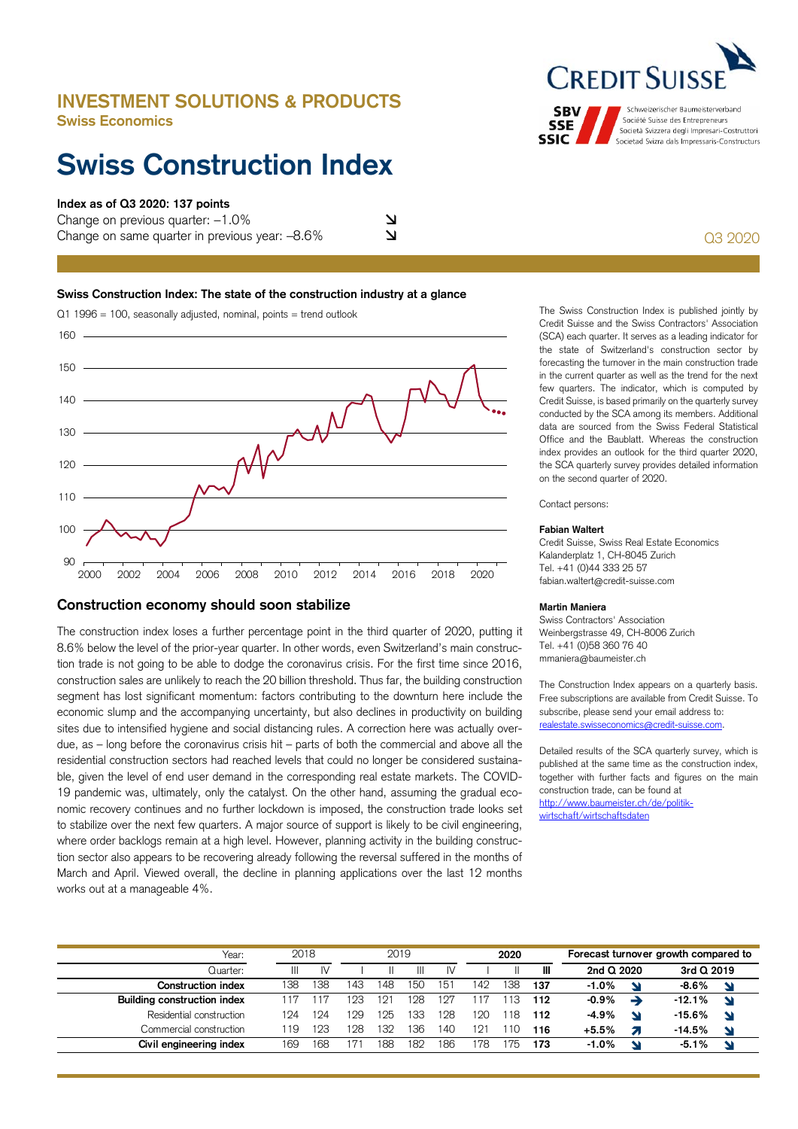# **INVESTMENT SOLUTIONS & PRODUCTS Swiss Economics**

# **Swiss Construction Index**

## **Index as of Q3 2020: 137 points**

Change on previous quarter:  $-1.0\%$ Change on same quarter in previous year:  $-8.6\%$ 

### **Swiss Construction Index: The state of the construction industry at a glance**



# **Construction economy should soon stabilize**

The construction index loses a further percentage point in the third quarter of 2020, putting it 8.6% below the level of the prior-year quarter. In other words, even Switzerland's main construction trade is not going to be able to dodge the coronavirus crisis. For the first time since 2016, construction sales are unlikely to reach the 20 billion threshold. Thus far, the building construction segment has lost significant momentum: factors contributing to the downturn here include the economic slump and the accompanying uncertainty, but also declines in productivity on building sites due to intensified hygiene and social distancing rules. A correction here was actually overdue, as – long before the coronavirus crisis hit – parts of both the commercial and above all the residential construction sectors had reached levels that could no longer be considered sustainable, given the level of end user demand in the corresponding real estate markets. The COVID-19 pandemic was, ultimately, only the catalyst. On the other hand, assuming the gradual economic recovery continues and no further lockdown is imposed, the construction trade looks set to stabilize over the next few quarters. A major source of support is likely to be civil engineering, where order backlogs remain at a high level. However, planning activity in the building construction sector also appears to be recovering already following the reversal suffered in the months of March and April. Viewed overall, the decline in planning applications over the last 12 months works out at a manageable 4%.

# **CREDIT SUI**

Schweizerischer Baumeisterverband **SBV** Société Suisse des Entrepreneurs **SSE** Società Svizzera degli Impresari-Costruttori **SSIC** Societad Svizra dals Impressaris-Constructurs

Q3 2020

 few quarters. The indicator, which is computed by Credit Suisse, is based primarily on the quarterly survey the SCA quarterly survey provides detailed information The Swiss Construction Index is published jointly by Credit Suisse and the Swiss Contractors' Association (SCA) each quarter. It serves as a leading indicator for the state of Switzerland's construction sector by forecasting the turnover in the main construction trade in the current quarter as well as the trend for the next conducted by the SCA among its members. Additional data are sourced from the Swiss Federal Statistical Office and the Baublatt. Whereas the construction index provides an outlook for the third quarter 2020, on the second quarter of 2020.

Contact persons:

#### **Fabian Waltert**

Credit Suisse, Swiss Real Estate Economics Kalanderplatz 1, CH-8045 Zurich Tel. +41 (0)44 333 25 57 fabian.waltert@credit-suisse.com

### **Martin Maniera**

Swiss Contractors' Association Weinbergstrasse 49, CH-8006 Zurich Tel. +41 (0)58 360 76 40 mmaniera@baumeister.ch

The Construction Index appears on a quarterly basis. Free subscriptions are available from Credit Suisse. To subscribe, please send your email address to: realestate.swisseconomics@credit-suisse.com.

 together with further facts and figures on the main Detailed results of the SCA quarterly survey, which is published at the same time as the construction index, construction trade, can be found at http://www.baumeister.ch/de/politikwirtschaft/wirtschaftsdaten

| Year:                       | 2018 |     | 2019 |     |     |     | 2020 |    |     | Forecast turnover growth compared to |              |  |
|-----------------------------|------|-----|------|-----|-----|-----|------|----|-----|--------------------------------------|--------------|--|
| .Juarter:                   |      | IV  |      |     | Ш   | IV  |      |    | Ш   | 2nd $Q$ 2020                         | 3rd $Q$ 2019 |  |
| Construction index          | 138  | 138 | 143  | 148 | 150 | 151 | 142  | 38 | 137 | $-1.0%$                              | $-8.6%$      |  |
| Building construction index |      |     | 123  | 12' | 128 | 127 |      | 13 | 112 | -0.9%                                | $-12.1%$     |  |
| Residential construction    | 124  | 124 | 129  | 125 | 133 | 128 | 120  | 18 | 112 | $-4.9%$                              | $-15.6%$     |  |
| Commercial construction     | l 19 | 123 | 128  | 132 | .36 | 40  | 12.  |    | 116 | $+5.5%$                              | $-14.5%$     |  |
| Civil engineering index     | 169  | 168 |      | 188 | 182 | 186 | 78   | 75 | 173 | $-1.0%$<br>N                         | $-5.1%$      |  |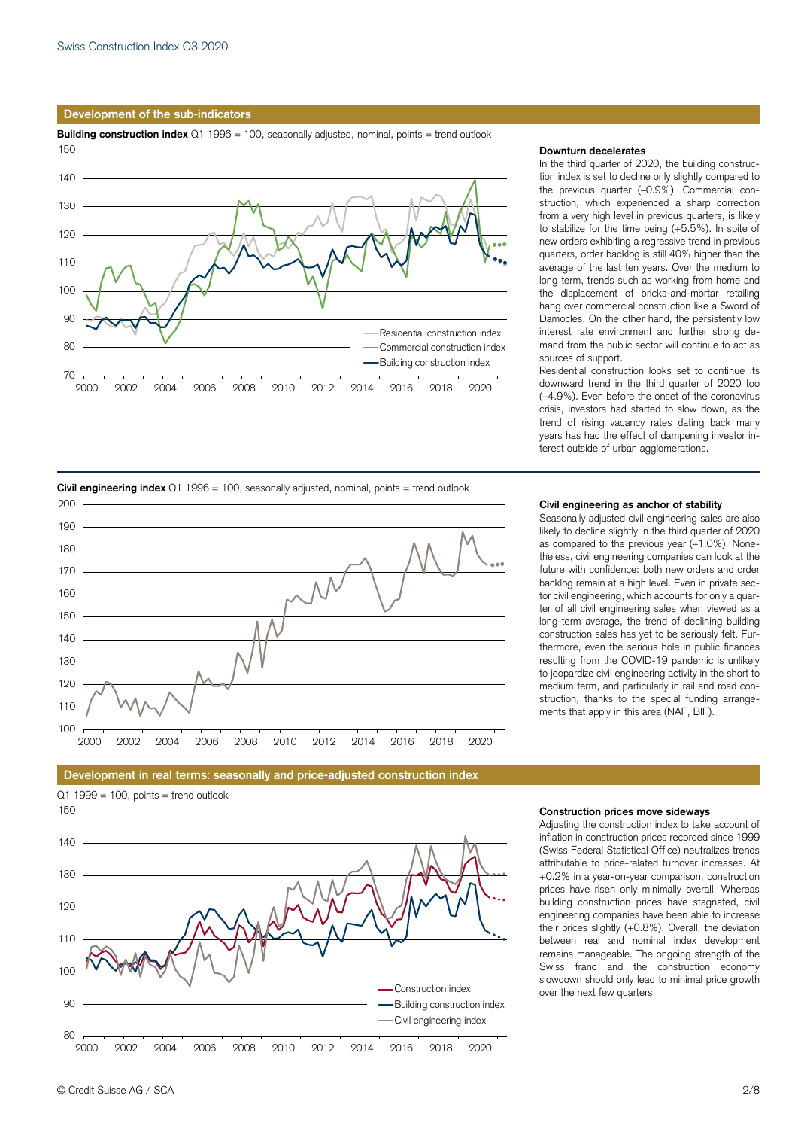#### **Development of the sub-indicators**



#### **Downturn decelerates**

 tion index is set to decline only slightly compared to to stabilize for the time being (+5.5%). In spite of new orders exhibiting a regressive trend in previous mand from the public sector will continue to act as In the third quarter of 2020, the building constructhe previous quarter (–0.9%). Commercial construction, which experienced a sharp correction from a very high level in previous quarters, is likely quarters, order backlog is still 40% higher than the average of the last ten years. Over the medium to long term, trends such as working from home and the displacement of bricks-and-mortar retailing hang over commercial construction like a Sword of Damocles. On the other hand, the persistently low interest rate environment and further strong desources of support.

 years has had the effect of dampening investor in-Residential construction looks set to continue its downward trend in the third quarter of 2020 too (–4.9%). Even before the onset of the coronavirus crisis, investors had started to slow down, as the trend of rising vacancy rates dating back many terest outside of urban agglomerations.



#### **Civil engineering as anchor of stability**

 future with confidence: both new orders and order Seasonally adjusted civil engineering sales are also likely to decline slightly in the third quarter of 2020 as compared to the previous year (–1.0%). Nonetheless, civil engineering companies can look at the backlog remain at a high level. Even in private sector civil engineering, which accounts for only a quarter of all civil engineering sales when viewed as a long-term average, the trend of declining building construction sales has yet to be seriously felt. Furthermore, even the serious hole in public finances resulting from the COVID-19 pandemic is unlikely to jeopardize civil engineering activity in the short to medium term, and particularly in rail and road construction, thanks to the special funding arrangements that apply in this area (NAF, BIF).



### **Development in real terms: seasonally and price-adjusted construction index**

#### **Construction prices move sideways**

 building construction prices have stagnated, civil over the next few quarters. Adjusting the construction index to take account of inflation in construction prices recorded since 1999 (Swiss Federal Statistical Office) neutralizes trends attributable to price-related turnover increases. At +0.2% in a year-on-year comparison, construction prices have risen only minimally overall. Whereas engineering companies have been able to increase their prices slightly (+0.8%). Overall, the deviation between real and nominal index development remains manageable. The ongoing strength of the Swiss franc and the construction economy slowdown should only lead to minimal price growth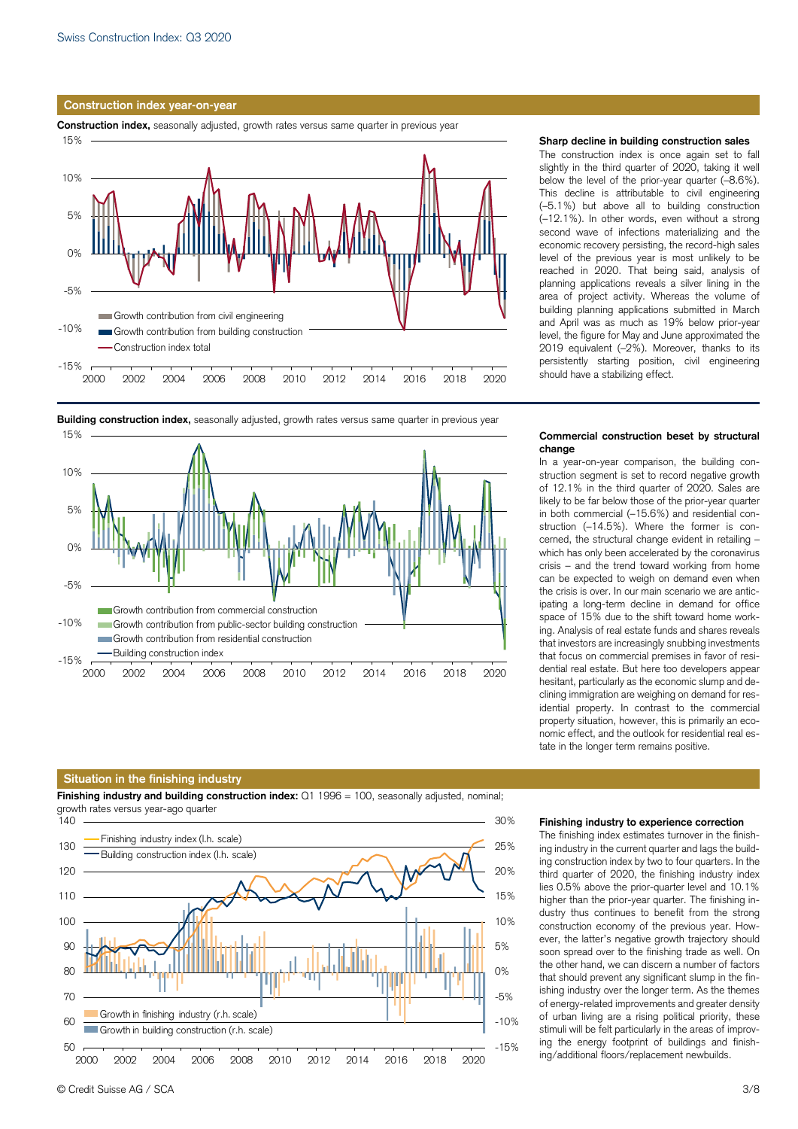#### **Construction index year-on-year**

**Construction index,** seasonally adjusted, growth rates versus same quarter in previous year





# **Building construction index,** seasonally adjusted, growth rates versus same quarter in previous year

#### **Situation in the finishing industry**

**Finishing industry and building construction index:** Q1 1996 = 100, seasonally adjusted, nominal;



#### **Sharp decline in building construction sales**

 second wave of infections materializing and the The construction index is once again set to fall slightly in the third quarter of 2020, taking it well below the level of the prior-year quarter (–8.6%). This decline is attributable to civil engineering (–5.1%) but above all to building construction (–12.1%). In other words, even without a strong economic recovery persisting, the record-high sales level of the previous year is most unlikely to be reached in 2020. That being said, analysis of planning applications reveals a silver lining in the area of project activity. Whereas the volume of building planning applications submitted in March and April was as much as 19% below prior-year level, the figure for May and June approximated the 2019 equivalent (–2%). Moreover, thanks to its persistently starting position, civil engineering should have a stabilizing effect.

#### **Commercial construction beset by structural change**

 cerned, the structural change evident in retailing – In a year-on-year comparison, the building construction segment is set to record negative growth of 12.1% in the third quarter of 2020. Sales are likely to be far below those of the prior-year quarter in both commercial (–15.6%) and residential construction (–14.5%). Where the former is conwhich has only been accelerated by the coronavirus crisis – and the trend toward working from home can be expected to weigh on demand even when the crisis is over. In our main scenario we are anticipating a long-term decline in demand for office space of 15% due to the shift toward home working. Analysis of real estate funds and shares reveals that investors are increasingly snubbing investments that focus on commercial premises in favor of residential real estate. But here too developers appear hesitant, particularly as the economic slump and declining immigration are weighing on demand for residential property. In contrast to the commercial property situation, however, this is primarily an economic effect, and the outlook for residential real estate in the longer term remains positive.

#### **Finishing industry to experience correction**

 higher than the prior-year quarter. The finishing in-The finishing index estimates turnover in the finishing industry in the current quarter and lags the building construction index by two to four quarters. In the third quarter of 2020, the finishing industry index lies 0.5% above the prior-quarter level and 10.1% dustry thus continues to benefit from the strong construction economy of the previous year. However, the latter's negative growth trajectory should soon spread over to the finishing trade as well. On the other hand, we can discern a number of factors that should prevent any significant slump in the finishing industry over the longer term. As the themes of energy-related improvements and greater density of urban living are a rising political priority, these stimuli will be felt particularly in the areas of improving the energy footprint of buildings and finishing/additional floors/replacement newbuilds.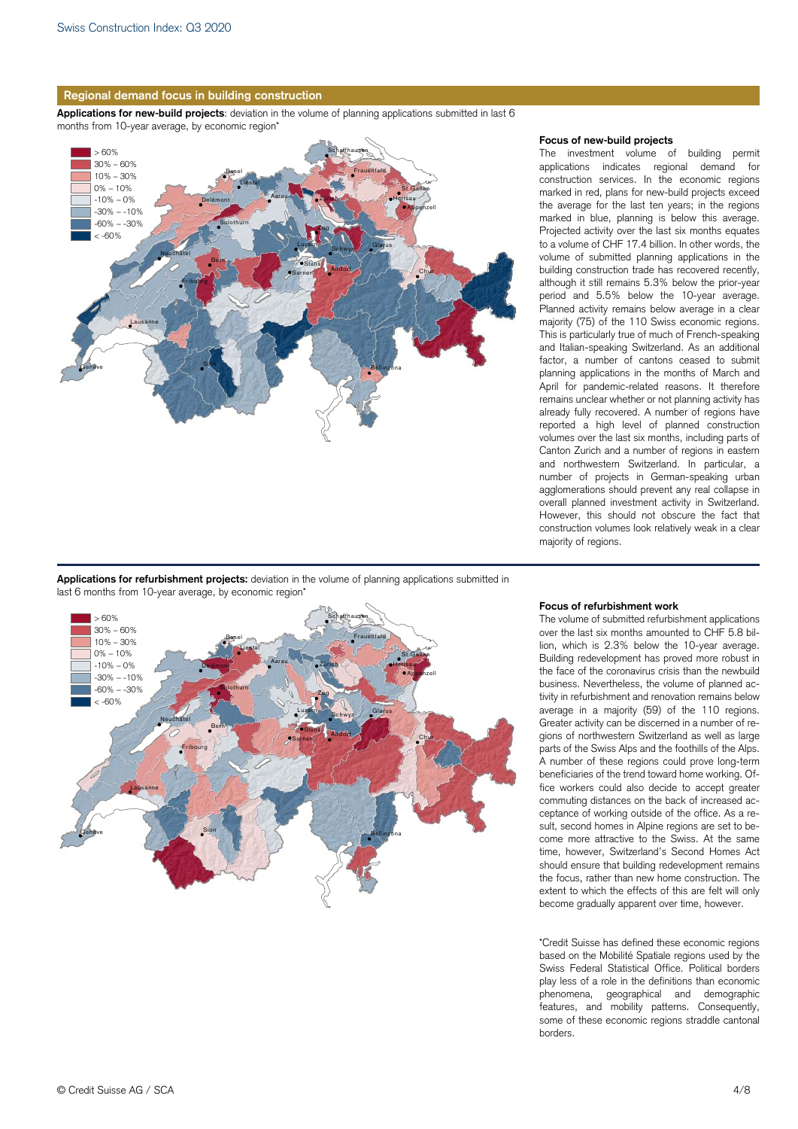

**Applications for new-build projects**: deviation in the volume of planning applications submitted in last 6 months from 10-year average, by economic region\*



#### **Focus of new-build projects**

 This is particularly true of much of French-speaking The investment volume of building permit applications indicates regional demand for construction services. In the economic regions marked in red, plans for new-build projects exceed the average for the last ten years; in the regions marked in blue, planning is below this average. Projected activity over the last six months equates to a volume of CHF 17.4 billion. In other words, the volume of submitted planning applications in the building construction trade has recovered recently, although it still remains 5.3% below the prior-year period and 5.5% below the 10-year average. Planned activity remains below average in a clear majority (75) of the 110 Swiss economic regions. and Italian-speaking Switzerland. As an additional factor, a number of cantons ceased to submit planning applications in the months of March and April for pandemic-related reasons. It therefore remains unclear whether or not planning activity has already fully recovered. A number of regions have reported a high level of planned construction volumes over the last six months, including parts of Canton Zurich and a number of regions in eastern and northwestern Switzerland. In particular, a number of projects in German-speaking urban agglomerations should prevent any real collapse in overall planned investment activity in Switzerland. However, this should not obscure the fact that construction volumes look relatively weak in a clear majority of regions.

**Applications for refurbishment projects:** deviation in the volume of planning applications submitted in last 6 months from 10-year average, by economic region'



#### **Focus of refurbishment work**

 business. Nevertheless, the volume of planned ac- ceptance of working outside of the office. As a re-The volume of submitted refurbishment applications over the last six months amounted to CHF 5.8 billion, which is 2.3% below the 10-year average. Building redevelopment has proved more robust in the face of the coronavirus crisis than the newbuild tivity in refurbishment and renovation remains below average in a majority (59) of the 110 regions. Greater activity can be discerned in a number of regions of northwestern Switzerland as well as large parts of the Swiss Alps and the foothills of the Alps. A number of these regions could prove long-term beneficiaries of the trend toward home working. Office workers could also decide to accept greater commuting distances on the back of increased acsult, second homes in Alpine regions are set to become more attractive to the Swiss. At the same time, however, Switzerland's Second Homes Act should ensure that building redevelopment remains the focus, rather than new home construction. The extent to which the effects of this are felt will only become gradually apparent over time, however.

 based on the Mobilité Spatiale regions used by the \*Credit Suisse has defined these economic regions Swiss Federal Statistical Office. Political borders play less of a role in the definitions than economic phenomena, geographical and demographic features, and mobility patterns. Consequently, some of these economic regions straddle cantonal borders.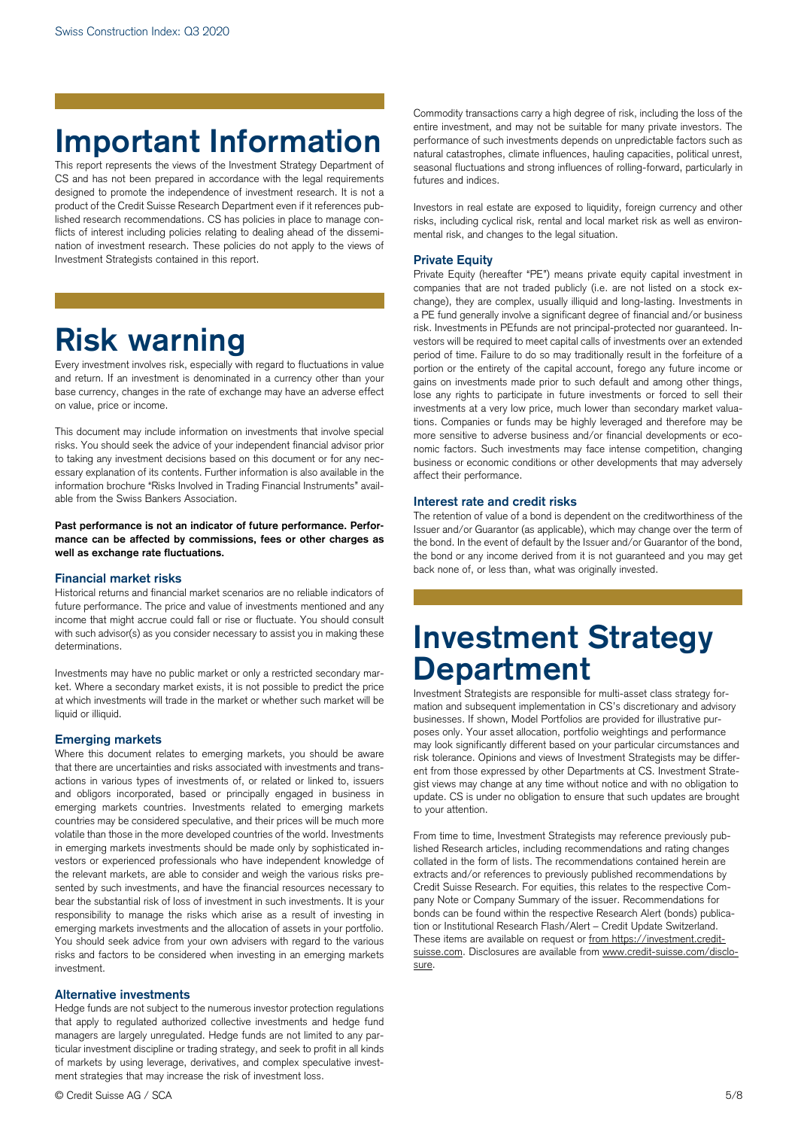# **Important Information**

 Investment Strategists contained in this report. This report represents the views of the Investment Strategy Department of CS and has not been prepared in accordance with the legal requirements designed to promote the independence of investment research. It is not a product of the Credit Suisse Research Department even if it references published research recommendations. CS has policies in place to manage conflicts of interest including policies relating to dealing ahead of the dissemination of investment research. These policies do not apply to the views of

# **Risk warning**

Every investment involves risk, especially with regard to fluctuations in value and return. If an investment is denominated in a currency other than your base currency, changes in the rate of exchange may have an adverse effect on value, price or income.

This document may include information on investments that involve special risks. You should seek the advice of your independent financial advisor prior to taking any investment decisions based on this document or for any necessary explanation of its contents. Further information is also available in the information brochure "Risks Involved in Trading Financial Instruments" available from the Swiss Bankers Association.

**Past performance is not an indicator of future performance. Performance can be affected by commissions, fees or other charges as well as exchange rate fluctuations.** 

### **Financial market risks**

Historical returns and financial market scenarios are no reliable indicators of future performance. The price and value of investments mentioned and any income that might accrue could fall or rise or fluctuate. You should consult with such advisor(s) as you consider necessary to assist you in making these determinations.

 liquid or illiquid. Investments may have no public market or only a restricted secondary market. Where a secondary market exists, it is not possible to predict the price at which investments will trade in the market or whether such market will be

# **Emerging markets**

Where this document relates to emerging markets, you should be aware that there are uncertainties and risks associated with investments and transactions in various types of investments of, or related or linked to, issuers and obligors incorporated, based or principally engaged in business in emerging markets countries. Investments related to emerging markets countries may be considered speculative, and their prices will be much more volatile than those in the more developed countries of the world. Investments in emerging markets investments should be made only by sophisticated investors or experienced professionals who have independent knowledge of the relevant markets, are able to consider and weigh the various risks presented by such investments, and have the financial resources necessary to bear the substantial risk of loss of investment in such investments. It is your responsibility to manage the risks which arise as a result of investing in emerging markets investments and the allocation of assets in your portfolio. You should seek advice from your own advisers with regard to the various risks and factors to be considered when investing in an emerging markets investment.

### **Alternative investments**

Hedge funds are not subject to the numerous investor protection regulations that apply to regulated authorized collective investments and hedge fund managers are largely unregulated. Hedge funds are not limited to any particular investment discipline or trading strategy, and seek to profit in all kinds of markets by using leverage, derivatives, and complex speculative investment strategies that may increase the risk of investment loss. sure.<br>
Sure.<br> **Alternative investments**<br>
Hedge funds are not subject to the numerous investor protection regulations<br>
that apply to regulated authorized collective investments and hedge fund<br>
managers are largely unregulat

 performance of such investments depends on unpredictable factors such as Commodity transactions carry a high degree of risk, including the loss of the entire investment, and may not be suitable for many private investors. The natural catastrophes, climate influences, hauling capacities, political unrest, seasonal fluctuations and strong influences of rolling-forward, particularly in futures and indices.

Investors in real estate are exposed to liquidity, foreign currency and other risks, including cyclical risk, rental and local market risk as well as environmental risk, and changes to the legal situation.

#### **Private Equity**

 tions. Companies or funds may be highly leveraged and therefore may be Private Equity (hereafter "PE") means private equity capital investment in companies that are not traded publicly (i.e. are not listed on a stock exchange), they are complex, usually illiquid and long-lasting. Investments in a PE fund generally involve a significant degree of financial and/or business risk. Investments in PEfunds are not principal-protected nor guaranteed. Investors will be required to meet capital calls of investments over an extended period of time. Failure to do so may traditionally result in the forfeiture of a portion or the entirety of the capital account, forego any future income or gains on investments made prior to such default and among other things, lose any rights to participate in future investments or forced to sell their investments at a very low price, much lower than secondary market valuamore sensitive to adverse business and/or financial developments or economic factors. Such investments may face intense competition, changing business or economic conditions or other developments that may adversely affect their performance.

#### **Interest rate and credit risks**

 the bond. In the event of default by the Issuer and/or Guarantor of the bond, The retention of value of a bond is dependent on the creditworthiness of the Issuer and/or Guarantor (as applicable), which may change over the term of the bond or any income derived from it is not guaranteed and you may get back none of, or less than, what was originally invested.

# **Investment Strategy Department**

Investment Strategists are responsible for multi-asset class strategy formation and subsequent implementation in CS's discretionary and advisory businesses. If shown, Model Portfolios are provided for illustrative purposes only. Your asset allocation, portfolio weightings and performance may look significantly different based on your particular circumstances and risk tolerance. Opinions and views of Investment Strategists may be different from those expressed by other Departments at CS. Investment Strategist views may change at any time without notice and with no obligation to update. CS is under no obligation to ensure that such updates are brought to your attention.

From time to time, Investment Strategists may reference previously published Research articles, including recommendations and rating changes collated in the form of lists. The recommendations contained herein are extracts and/or references to previously published recommendations by Credit Suisse Research. For equities, this relates to the respective Company Note or Company Summary of the issuer. Recommendations for bonds can be found within the respective Research Alert (bonds) publication or Institutional Research Flash/Alert – Credit Update Switzerland. These items are available on request or from https://investment.creditsuisse.com. Disclosures are available from www.credit-suisse.com/disclo-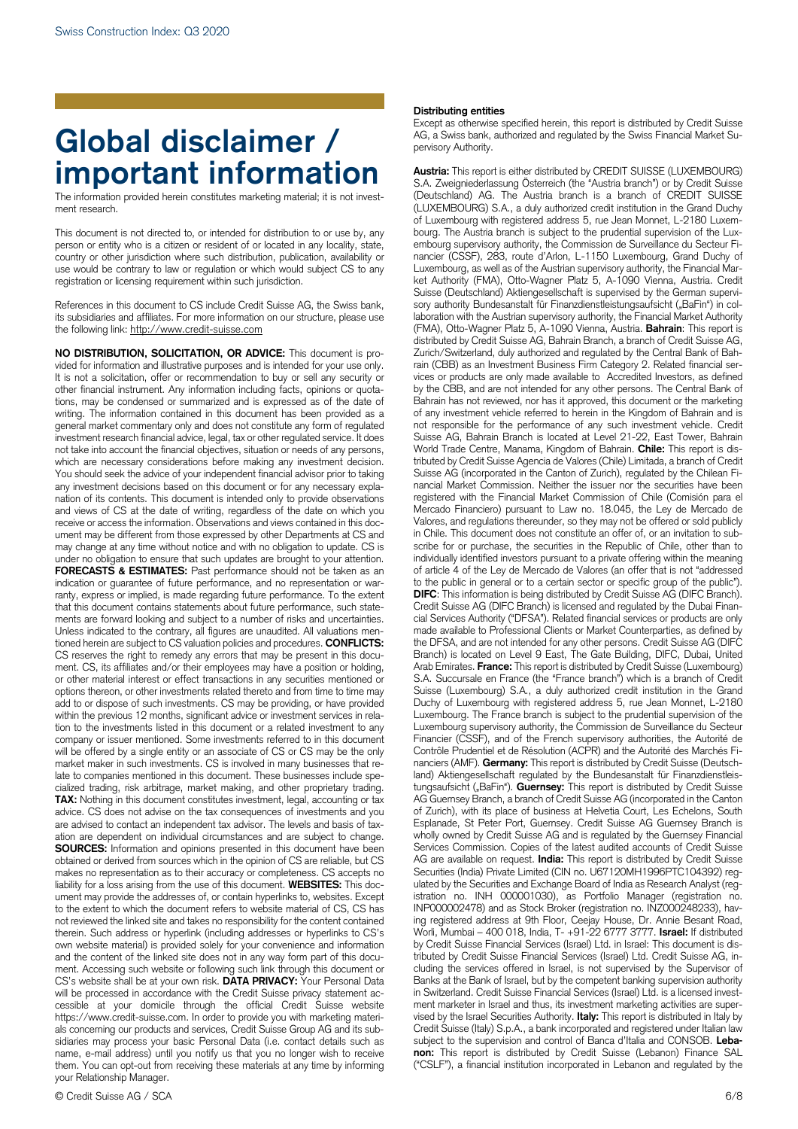# **Global disclaimer / important information**

The information provided herein constitutes marketing material; it is not investment research.

 person or entity who is a citizen or resident of or located in any locality, state, use would be contrary to law or regulation or which would subject CS to any This document is not directed to, or intended for distribution to or use by, any country or other jurisdiction where such distribution, publication, availability or registration or licensing requirement within such jurisdiction.

 its subsidiaries and affiliates. For more information on our structure, please use the following link: http://www.credit-suisse.com References in this document to CS include Credit Suisse AG, the Swiss bank,

 It is not a solicitation, offer or recommendation to buy or sell any security or You should seek the advice of your independent financial advisor prior to taking nation of its contents. This document is intended only to provide observations under no obligation to ensure that such updates are brought to your attention. CS reserves the right to remedy any errors that may be present in this docu- add to or dispose of such investments. CS may be providing, or have provided tion to the investments listed in this document or a related investment to any cialized trading, risk arbitrage, market making, and other proprietary trading. are advised to contact an independent tax advisor. The levels and basis of tax- **SOURCES:** Information and opinions presented in this document have been own website material) is provided solely for your convenience and information and the content of the linked site does not in any way form part of this docu- ment. Accessing such website or following such link through this document or CS's website shall be at your own risk. **DATA PRIVACY:** Your Personal Data will be processed in accordance with the Credit Suisse privacy statement ac- cessible at your domicile through the official Credit Suisse website name, e-mail address) until you notify us that you no longer wish to receive **NO DISTRIBUTION, SOLICITATION, OR ADVICE:** This document is provided for information and illustrative purposes and is intended for your use only. other financial instrument. Any information including facts, opinions or quotations, may be condensed or summarized and is expressed as of the date of writing. The information contained in this document has been provided as a general market commentary only and does not constitute any form of regulated investment research financial advice, legal, tax or other regulated service. It does not take into account the financial objectives, situation or needs of any persons, which are necessary considerations before making any investment decision. any investment decisions based on this document or for any necessary explaand views of CS at the date of writing, regardless of the date on which you receive or access the information. Observations and views contained in this document may be different from those expressed by other Departments at CS and may change at any time without notice and with no obligation to update. CS is **FORECASTS & ESTIMATES:** Past performance should not be taken as an indication or guarantee of future performance, and no representation or warranty, express or implied, is made regarding future performance. To the extent that this document contains statements about future performance, such statements are forward looking and subject to a number of risks and uncertainties. Unless indicated to the contrary, all figures are unaudited. All valuations mentioned herein are subject to CS valuation policies and procedures. **CONFLICTS:**  ment. CS, its affiliates and/or their employees may have a position or holding, or other material interest or effect transactions in any securities mentioned or options thereon, or other investments related thereto and from time to time may within the previous 12 months, significant advice or investment services in relacompany or issuer mentioned. Some investments referred to in this document will be offered by a single entity or an associate of CS or CS may be the only market maker in such investments. CS is involved in many businesses that relate to companies mentioned in this document. These businesses include spe-**TAX:** Nothing in this document constitutes investment, legal, accounting or tax advice. CS does not advise on the tax consequences of investments and you ation are dependent on individual circumstances and are subject to change. obtained or derived from sources which in the opinion of CS are reliable, but CS makes no representation as to their accuracy or completeness. CS accepts no liability for a loss arising from the use of this document. **WEBSITES:** This document may provide the addresses of, or contain hyperlinks to, websites. Except to the extent to which the document refers to website material of CS, CS has not reviewed the linked site and takes no responsibility for the content contained therein. Such address or hyperlink (including addresses or hyperlinks to CS's https://www.credit-suisse.com. In order to provide you with marketing materials concerning our products and services, Credit Suisse Group AG and its subsidiaries may process your basic Personal Data (i.e. contact details such as them. You can opt-out from receiving these materials at any time by informing your Relationship Manager.

# © Credit Suisse AG / SCA 6/8

#### **Distributing entities**

Except as otherwise specified herein, this report is distributed by Credit Suisse AG, a Swiss bank, authorized and regulated by the Swiss Financial Market Supervisory Authority.

 (Deutschland) AG. The Austria branch is a branch of CREDIT SUISSE (LUXEMBOURG) S.A., a duly authorized credit institution in the Grand Duchy Luxembourg, as well as of the Austrian supervisory authority, the Financial Mar- laboration with the Austrian supervisory authority, the Financial Market Authority (FMA), Otto-Wagner Platz 5, A-1090 Vienna, Austria. **Bahrain**: This report is in Chile. This document does not constitute an offer of, or an invitation to sub- scribe for or purchase, the securities in the Republic of Chile, other than to individually identified investors pursuant to a private offering within the meaning **DIFC**: This information is being distributed by Credit Suisse AG (DIFC Branch). the DFSA, and are not intended for any other persons. Credit Suisse AG (DIFC Branch) is located on Level 9 East, The Gate Building, DIFC, Dubai, United S.A. Succursale en France (the "France branch") which is a branch of Credit Suisse (Luxembourg) S.A., a duly authorized credit institution in the Grand Luxembourg. The France branch is subject to the prudential supervision of the AG Guernsey Branch, a branch of Credit Suisse AG (incorporated in the Canton Services Commission. Copies of the latest audited accounts of Credit Suisse istration no. INH 000001030), as Portfolio Manager (registration no. by Credit Suisse Financial Services (Israel) Ltd. in Israel: This document is dis- tributed by Credit Suisse Financial Services (Israel) Ltd. Credit Suisse AG, in- cluding the services offered in Israel, is not supervised by the Supervisor of Banks at the Bank of Israel, but by the competent banking supervision authority vised by the Israel Securities Authority. **Italy:** This report is distributed in Italy by Credit Suisse (Italy) S.p.A., a bank incorporated and registered under Italian law subject to the supervision and control of Banca d'Italia and CONSOB. **Leba-** ("CSLF"), a financial institution incorporated in Lebanon and regulated by the **Austria:** This report is either distributed by CREDIT SUISSE (LUXEMBOURG) S.A. Zweigniederlassung Österreich (the "Austria branch") or by Credit Suisse of Luxembourg with registered address 5, rue Jean Monnet, L-2180 Luxembourg. The Austria branch is subject to the prudential supervision of the Luxembourg supervisory authority, the Commission de Surveillance du Secteur Financier (CSSF), 283, route d'Arlon, L-1150 Luxembourg, Grand Duchy of ket Authority (FMA), Otto-Wagner Platz 5, A-1090 Vienna, Austria. Credit Suisse (Deutschland) Aktiengesellschaft is supervised by the German supervisory authority Bundesanstalt für Finanzdienstleistungsaufsicht ("BaFin") in coldistributed by Credit Suisse AG, Bahrain Branch, a branch of Credit Suisse AG, Zurich/Switzerland, duly authorized and regulated by the Central Bank of Bahrain (CBB) as an Investment Business Firm Category 2. Related financial services or products are only made available to Accredited Investors, as defined by the CBB, and are not intended for any other persons. The Central Bank of Bahrain has not reviewed, nor has it approved, this document or the marketing of any investment vehicle referred to herein in the Kingdom of Bahrain and is not responsible for the performance of any such investment vehicle. Credit Suisse AG, Bahrain Branch is located at Level 21-22, East Tower, Bahrain World Trade Centre, Manama, Kingdom of Bahrain. **Chile:** This report is distributed by Credit Suisse Agencia de Valores (Chile) Limitada, a branch of Credit Suisse AG (incorporated in the Canton of Zurich), regulated by the Chilean Financial Market Commission. Neither the issuer nor the securities have been registered with the Financial Market Commission of Chile (Comisión para el Mercado Financiero) pursuant to Law no. 18.045, the Ley de Mercado de Valores, and regulations thereunder, so they may not be offered or sold publicly of article 4 of the Ley de Mercado de Valores (an offer that is not "addressed to the public in general or to a certain sector or specific group of the public"). Credit Suisse AG (DIFC Branch) is licensed and regulated by the Dubai Financial Services Authority ("DFSA"). Related financial services or products are only made available to Professional Clients or Market Counterparties, as defined by Arab Emirates. **France:** This report is distributed by Credit Suisse (Luxembourg) Duchy of Luxembourg with registered address 5, rue Jean Monnet, L-2180 Luxembourg supervisory authority, the Commission de Surveillance du Secteur Financier (CSSF), and of the French supervisory authorities, the Autorité de Contrôle Prudentiel et de Résolution (ACPR) and the Autorité des Marchés Financiers (AMF). **Germany:** This report is distributed by Credit Suisse (Deutschland) Aktiengesellschaft regulated by the Bundesanstalt für Finanzdienstleistungsaufsicht ("BaFin"). **Guernsey:** This report is distributed by Credit Suisse of Zurich), with its place of business at Helvetia Court, Les Echelons, South Esplanade, St Peter Port, Guernsey. Credit Suisse AG Guernsey Branch is wholly owned by Credit Suisse AG and is regulated by the Guernsey Financial AG are available on request. **India:** This report is distributed by Credit Suisse Securities (India) Private Limited (CIN no. U67120MH1996PTC104392) regulated by the Securities and Exchange Board of India as Research Analyst (reg-INP000002478) and as Stock Broker (registration no. INZ000248233), having registered address at 9th Floor, Ceejay House, Dr. Annie Besant Road, Worli, Mumbai – 400 018, India, T- +91-22 6777 3777. **Israel:** If distributed in Switzerland. Credit Suisse Financial Services (Israel) Ltd. is a licensed investment marketer in Israel and thus, its investment marketing activities are super**non:** This report is distributed by Credit Suisse (Lebanon) Finance SAL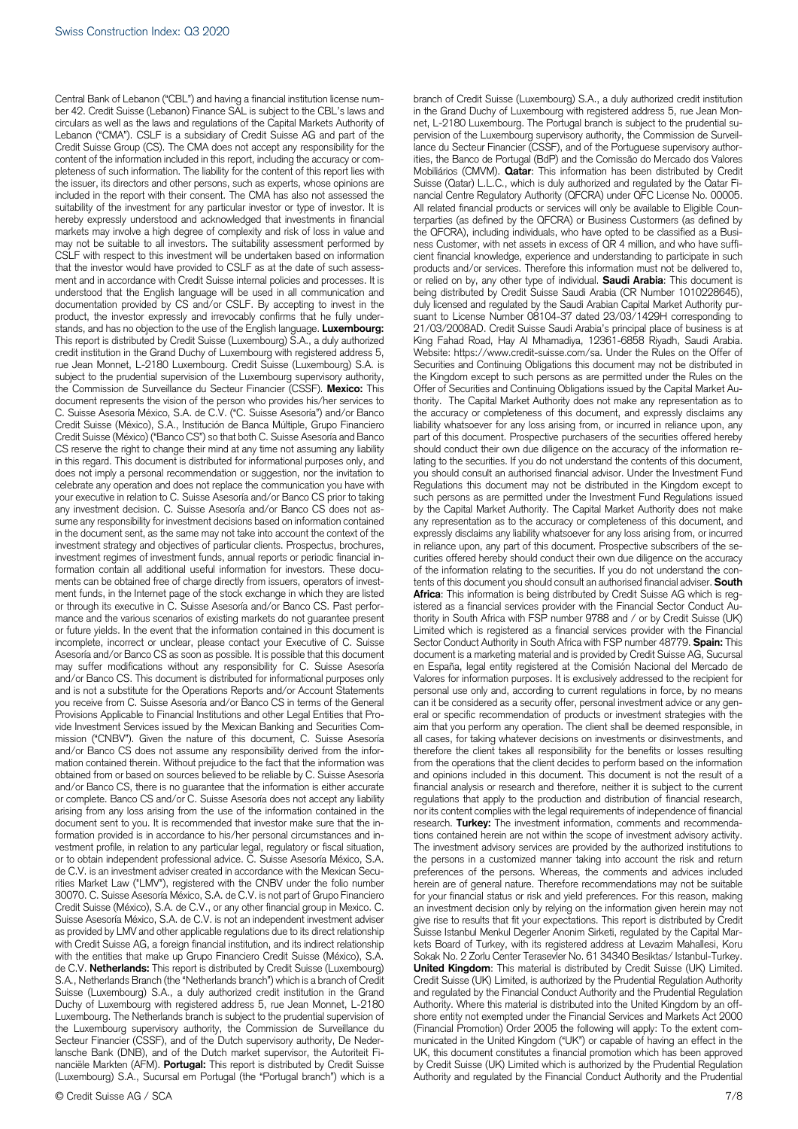content of the information included in this report, including the accuracy or com- pleteness of such information. The liability for the content of this report lies with suitability of the investment for any particular investor or type of investor. It is may not be suitable to all investors. The suitability assessment performed by that the investor would have provided to CSLF as at the date of such assess- credit institution in the Grand Duchy of Luxembourg with registered address 5, Credit Suisse (México) ("Banco CS") so that both C. Suisse Asesoría and Banco CS reserve the right to change their mind at any time not assuming any liability does not imply a personal recommendation or suggestion, nor the invitation to in the document sent, as the same may not take into account the context of the ments can be obtained free of charge directly from issuers, operators of invest- ment funds, in the Internet page of the stock exchange in which they are listed mance and the various scenarios of existing markets do not guarantee present or future yields. In the event that the information contained in this document is incomplete, incorrect or unclear, please contact your Executive of C. Suisse Asesoría and/or Banco CS as soon as possible. It is possible that this document may suffer modifications without any responsibility for C. Suisse Asesoría vestment profile, in relation to any particular legal, regulatory or fiscal situation, de C.V. is an investment adviser created in accordance with the Mexican Secu- Suisse (Luxembourg) S.A., a duly authorized credit institution in the Grand lansche Bank (DNB), and of the Dutch market supervisor, the Autoriteit Fi-Central Bank of Lebanon ("CBL") and having a financial institution license number 42. Credit Suisse (Lebanon) Finance SAL is subject to the CBL's laws and circulars as well as the laws and regulations of the Capital Markets Authority of Lebanon ("CMA"). CSLF is a subsidiary of Credit Suisse AG and part of the Credit Suisse Group (CS). The CMA does not accept any responsibility for the the issuer, its directors and other persons, such as experts, whose opinions are included in the report with their consent. The CMA has also not assessed the hereby expressly understood and acknowledged that investments in financial markets may involve a high degree of complexity and risk of loss in value and CSLF with respect to this investment will be undertaken based on information ment and in accordance with Credit Suisse internal policies and processes. It is understood that the English language will be used in all communication and documentation provided by CS and/or CSLF. By accepting to invest in the product, the investor expressly and irrevocably confirms that he fully understands, and has no objection to the use of the English language. **Luxembourg:**  This report is distributed by Credit Suisse (Luxembourg) S.A., a duly authorized rue Jean Monnet, L-2180 Luxembourg. Credit Suisse (Luxembourg) S.A. is subject to the prudential supervision of the Luxembourg supervisory authority, the Commission de Surveillance du Secteur Financier (CSSF). **Mexico:** This document represents the vision of the person who provides his/her services to C. Suisse Asesoría México, S.A. de C.V. ("C. Suisse Asesoría") and/or Banco Credit Suisse (México), S.A., Institución de Banca Múltiple, Grupo Financiero in this regard. This document is distributed for informational purposes only, and celebrate any operation and does not replace the communication you have with your executive in relation to C. Suisse Asesoría and/or Banco CS prior to taking any investment decision. C. Suisse Asesoría and/or Banco CS does not assume any responsibility for investment decisions based on information contained investment strategy and objectives of particular clients. Prospectus, brochures, investment regimes of investment funds, annual reports or periodic financial information contain all additional useful information for investors. These docuor through its executive in C. Suisse Asesoría and/or Banco CS. Past perforand/or Banco CS. This document is distributed for informational purposes only and is not a substitute for the Operations Reports and/or Account Statements you receive from C. Suisse Asesoría and/or Banco CS in terms of the General Provisions Applicable to Financial Institutions and other Legal Entities that Provide Investment Services issued by the Mexican Banking and Securities Commission ("CNBV"). Given the nature of this document, C. Suisse Asesoría and/or Banco CS does not assume any responsibility derived from the information contained therein. Without prejudice to the fact that the information was obtained from or based on sources believed to be reliable by C. Suisse Asesoría and/or Banco CS, there is no guarantee that the information is either accurate or complete. Banco CS and/or C. Suisse Asesoría does not accept any liability arising from any loss arising from the use of the information contained in the document sent to you. It is recommended that investor make sure that the information provided is in accordance to his/her personal circumstances and inor to obtain independent professional advice. C. Suisse Asesoría México, S.A. rities Market Law ("LMV"), registered with the CNBV under the folio number 30070. C. Suisse Asesoría México, S.A. de C.V. is not part of Grupo Financiero Credit Suisse (México), S.A. de C.V., or any other financial group in Mexico. C. Suisse Asesoría México, S.A. de C.V. is not an independent investment adviser as provided by LMV and other applicable regulations due to its direct relationship with Credit Suisse AG, a foreign financial institution, and its indirect relationship with the entities that make up Grupo Financiero Credit Suisse (México), S.A. de C.V. **Netherlands:** This report is distributed by Credit Suisse (Luxembourg) S.A., Netherlands Branch (the "Netherlands branch") which is a branch of Credit Duchy of Luxembourg with registered address 5, rue Jean Monnet, L-2180 Luxembourg. The Netherlands branch is subject to the prudential supervision of the Luxembourg supervisory authority, the Commission de Surveillance du Secteur Financier (CSSF), and of the Dutch supervisory authority, De Nedernanciële Markten (AFM). **Portugal:** This report is distributed by Credit Suisse (Luxembourg) S.A., Sucursal em Portugal (the "Portugal branch") which is a

 in the Grand Duchy of Luxembourg with registered address 5, rue Jean Mon- lance du Secteur Financier (CSSF), and of the Portuguese supervisory author- Suisse (Qatar) L.L.C., which is duly authorized and regulated by the Qatar Fi- ness Customer, with net assets in excess of QR 4 million, and who have suffi- cient financial knowledge, experience and understanding to participate in such Securities and Continuing Obligations this document may not be distributed in lating to the securities. If you do not understand the contents of this document, expressly disclaims any liability whatsoever for any loss arising from, or incurred curities offered hereby should conduct their own due diligence on the accuracy tents of this document you should consult an authorised financial adviser. **South**  thority in South Africa with FSP number 9788 and / or by Credit Suisse (UK) Limited which is registered as a financial services provider with the Financial document is a marketing material and is provided by Credit Suisse AG, Sucursal personal use only and, according to current regulations in force, by no means aim that you perform any operation. The client shall be deemed responsible, in therefore the client takes all responsibility for the benefits or losses resulting from the operations that the client decides to perform based on the information financial analysis or research and therefore, neither it is subject to the current nor its content complies with the legal requirements of independence of financial tions contained herein are not within the scope of investment advisory activity. for your financial status or risk and yield preferences. For this reason, making **United Kingdom**: This material is distributed by Credit Suisse (UK) Limited. Credit Suisse (UK) Limited, is authorized by the Prudential Regulation Authority municated in the United Kingdom ("UK") or capable of having an effect in the by Credit Suisse (UK) Limited which is authorized by the Prudential Regulation branch of Credit Suisse (Luxembourg) S.A., a duly authorized credit institution net, L-2180 Luxembourg. The Portugal branch is subject to the prudential supervision of the Luxembourg supervisory authority, the Commission de Surveilities, the Banco de Portugal (BdP) and the Comissão do Mercado dos Valores Mobiliários (CMVM). **Qatar**: This information has been distributed by Credit nancial Centre Regulatory Authority (QFCRA) under QFC License No. 00005. All related financial products or services will only be available to Eligible Counterparties (as defined by the QFCRA) or Business Custormers (as defined by the QFCRA), including individuals, who have opted to be classified as a Busiproducts and/or services. Therefore this information must not be delivered to, or relied on by, any other type of individual. **Saudi Arabia**: This document is being distributed by Credit Suisse Saudi Arabia (CR Number 1010228645), duly licensed and regulated by the Saudi Arabian Capital Market Authority pursuant to License Number 08104-37 dated 23/03/1429H corresponding to 21/03/2008AD. Credit Suisse Saudi Arabia's principal place of business is at King Fahad Road, Hay Al Mhamadiya, 12361-6858 Riyadh, Saudi Arabia. Website: https://www.credit-suisse.com/sa. Under the Rules on the Offer of the Kingdom except to such persons as are permitted under the Rules on the Offer of Securities and Continuing Obligations issued by the Capital Market Authority. The Capital Market Authority does not make any representation as to the accuracy or completeness of this document, and expressly disclaims any liability whatsoever for any loss arising from, or incurred in reliance upon, any part of this document. Prospective purchasers of the securities offered hereby should conduct their own due diligence on the accuracy of the information reyou should consult an authorised financial advisor. Under the Investment Fund Regulations this document may not be distributed in the Kingdom except to such persons as are permitted under the Investment Fund Regulations issued by the Capital Market Authority. The Capital Market Authority does not make any representation as to the accuracy or completeness of this document, and in reliance upon, any part of this document. Prospective subscribers of the seof the information relating to the securities. If you do not understand the con-**Africa**: This information is being distributed by Credit Suisse AG which is registered as a financial services provider with the Financial Sector Conduct Au-Sector Conduct Authority in South Africa with FSP number 48779. **Spain:** This en España, legal entity registered at the Comisión Nacional del Mercado de Valores for information purposes. It is exclusively addressed to the recipient for can it be considered as a security offer, personal investment advice or any general or specific recommendation of products or investment strategies with the all cases, for taking whatever decisions on investments or disinvestments, and and opinions included in this document. This document is not the result of a regulations that apply to the production and distribution of financial research, research. **Turkey:** The investment information, comments and recommenda-The investment advisory services are provided by the authorized institutions to the persons in a customized manner taking into account the risk and return preferences of the persons. Whereas, the comments and advices included herein are of general nature. Therefore recommendations may not be suitable an investment decision only by relying on the information given herein may not give rise to results that fit your expectations. This report is distributed by Credit Suisse Istanbul Menkul Degerler Anonim Sirketi, regulated by the Capital Markets Board of Turkey, with its registered address at Levazim Mahallesi, Koru Sokak No. 2 Zorlu Center Terasevler No. 61 34340 Besiktas/ Istanbul-Turkey. and regulated by the Financial Conduct Authority and the Prudential Regulation Authority. Where this material is distributed into the United Kingdom by an offshore entity not exempted under the Financial Services and Markets Act 2000 (Financial Promotion) Order 2005 the following will apply: To the extent com-UK, this document constitutes a financial promotion which has been approved Authority and regulated by the Financial Conduct Authority and the Prudential